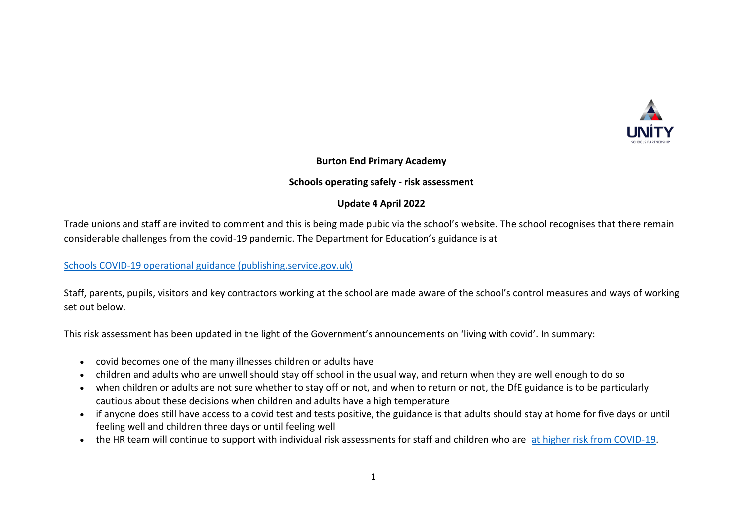

### **Burton End Primary Academy**

### **Schools operating safely - risk assessment**

# **Update 4 April 2022**

Trade unions and staff are invited to comment and this is being made pubic via the school's website. The school recognises that there remain considerable challenges from the covid-19 pandemic. The Department for Education's guidance is at

## [Schools COVID-19 operational guidance \(publishing.service.gov.uk\)](https://assets.publishing.service.gov.uk/government/uploads/system/uploads/attachment_data/file/1057106/220224_Schools_guidance.pdf)

Staff, parents, pupils, visitors and key contractors working at the school are made aware of the school's control measures and ways of working set out below.

This risk assessment has been updated in the light of the Government's announcements on 'living with covid'. In summary:

- covid becomes one of the many illnesses children or adults have
- children and adults who are unwell should stay off school in the usual way, and return when they are well enough to do so
- when children or adults are not sure whether to stay off or not, and when to return or not, the DfE guidance is to be particularly cautious about these decisions when children and adults have a high temperature
- if anyone does still have access to a covid test and tests positive, the guidance is that adults should stay at home for five days or until feeling well and children three days or until feeling well
- the HR team will continue to support with individual risk assessments for staff and children who are [at higher risk from COVID-19.](https://www.nhs.uk/conditions/coronavirus-covid-19/people-at-higher-risk/who-is-at-high-risk-from-coronavirus/)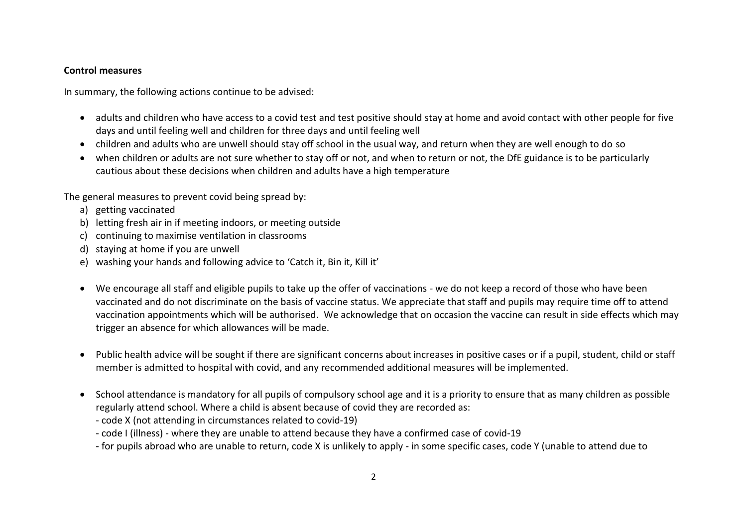#### **Control measures**

In summary, the following actions continue to be advised:

- adults and children who have access to a covid test and test positive should stay at home and avoid contact with other people for five days and until feeling well and children for three days and until feeling well
- children and adults who are unwell should stay off school in the usual way, and return when they are well enough to do so
- when children or adults are not sure whether to stay off or not, and when to return or not, the DfE guidance is to be particularly cautious about these decisions when children and adults have a high temperature

The general measures to prevent covid being spread by:

- a) getting vaccinated
- b) letting fresh air in if meeting indoors, or meeting outside
- c) continuing to maximise ventilation in classrooms
- d) staying at home if you are unwell
- e) washing your hands and following advice to 'Catch it, Bin it, Kill it'
- We encourage all staff and eligible pupils to take up the offer of vaccinations we do not keep a record of those who have been vaccinated and do not discriminate on the basis of vaccine status. We appreciate that staff and pupils may require time off to attend vaccination appointments which will be authorised. We acknowledge that on occasion the vaccine can result in side effects which may trigger an absence for which allowances will be made.
- Public health advice will be sought if there are significant concerns about increases in positive cases or if a pupil, student, child or staff member is admitted to hospital with covid, and any recommended additional measures will be implemented.
- School attendance is mandatory for all pupils of compulsory school age and it is a priority to ensure that as many children as possible regularly attend school. Where a child is absent because of covid they are recorded as:
	- code X (not attending in circumstances related to covid-19)
	- code I (illness) where they are unable to attend because they have a confirmed case of covid-19
	- for pupils abroad who are unable to return, code X is unlikely to apply in some specific cases, code Y (unable to attend due to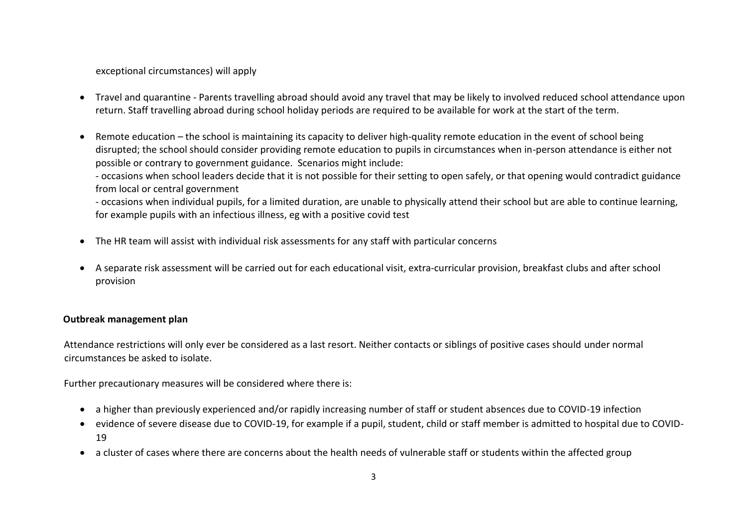exceptional circumstances) will apply

- Travel and quarantine Parents travelling abroad should avoid any travel that may be likely to involved reduced school attendance upon return. Staff travelling abroad during school holiday periods are required to be available for work at the start of the term.
- Remote education the school is maintaining its capacity to deliver high-quality remote education in the event of school being disrupted; the school should consider providing remote education to pupils in circumstances when in-person attendance is either not possible or contrary to government guidance. Scenarios might include:

- occasions when school leaders decide that it is not possible for their setting to open safely, or that opening would contradict guidance from local or central government

- occasions when individual pupils, for a limited duration, are unable to physically attend their school but are able to continue learning, for example pupils with an infectious illness, eg with a positive covid test

- The HR team will assist with individual risk assessments for any staff with particular concerns
- A separate risk assessment will be carried out for each educational visit, extra-curricular provision, breakfast clubs and after school provision

## **Outbreak management plan**

Attendance restrictions will only ever be considered as a last resort. Neither contacts or siblings of positive cases should under normal circumstances be asked to isolate.

Further precautionary measures will be considered where there is:

- a higher than previously experienced and/or rapidly increasing number of staff or student absences due to COVID-19 infection
- evidence of severe disease due to COVID-19, for example if a pupil, student, child or staff member is admitted to hospital due to COVID-19
- a cluster of cases where there are concerns about the health needs of vulnerable staff or students within the affected group